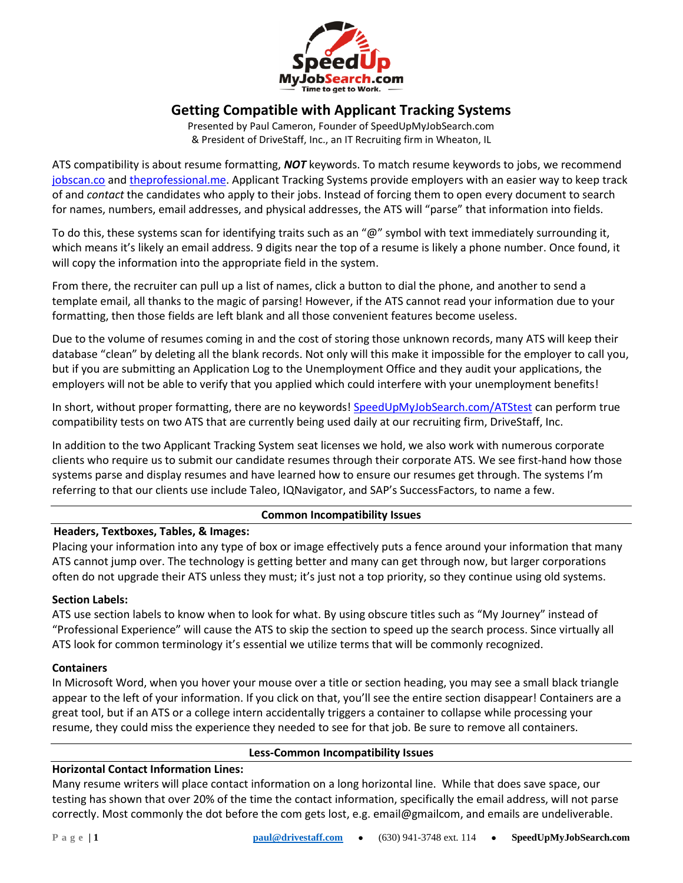

# **Getting Compatible with Applicant Tracking Systems**

Presented by Paul Cameron, Founder of SpeedUpMyJobSearch.com & President of DriveStaff, Inc., an IT Recruiting firm in Wheaton, IL

ATS compatibility is about resume formatting, *NOT* keywords. To match resume keywords to jobs, we recommend jobscan.co and theprofessional.me. Applicant Tracking Systems provide employers with an easier way to keep track of and *contact* the candidates who apply to their jobs. Instead of forcing them to open every document to search for names, numbers, email addresses, and physical addresses, the ATS will "parse" that information into fields.

To do this, these systems scan for identifying traits such as an " $@$ " symbol with text immediately surrounding it, which means it's likely an email address. 9 digits near the top of a resume is likely a phone number. Once found, it will copy the information into the appropriate field in the system.

From there, the recruiter can pull up a list of names, click a button to dial the phone, and another to send a template email, all thanks to the magic of parsing! However, if the ATS cannot read your information due to your formatting, then those fields are left blank and all those convenient features become useless.

Due to the volume of resumes coming in and the cost of storing those unknown records, many ATS will keep their database "clean" by deleting all the blank records. Not only will this make it impossible for the employer to call you, but if you are submitting an Application Log to the Unemployment Office and they audit your applications, the employers will not be able to verify that you applied which could interfere with your unemployment benefits!

In short, without proper formatting, there are no keywords! SpeedUpMyJobSearch.com/ATStest can perform true compatibility tests on two ATS that are currently being used daily at our recruiting firm, DriveStaff, Inc.

In addition to the two Applicant Tracking System seat licenses we hold, we also work with numerous corporate clients who require us to submit our candidate resumes through their corporate ATS. We see first-hand how those systems parse and display resumes and have learned how to ensure our resumes get through. The systems I'm referring to that our clients use include Taleo, IQNavigator, and SAP's SuccessFactors, to name a few.

# **Common Incompatibility Issues**

**Headers, Textboxes, Tables, & Images:**

Placing your information into any type of box or image effectively puts a fence around your information that many ATS cannot jump over. The technology is getting better and many can get through now, but larger corporations often do not upgrade their ATS unless they must; it's just not a top priority, so they continue using old systems.

# **Section Labels:**

ATS use section labels to know when to look for what. By using obscure titles such as "My Journey" instead of "Professional Experience" will cause the ATS to skip the section to speed up the search process. Since virtually all ATS look for common terminology it's essential we utilize terms that will be commonly recognized.

# **Containers**

In Microsoft Word, when you hover your mouse over a title or section heading, you may see a small black triangle appear to the left of your information. If you click on that, you'll see the entire section disappear! Containers are a great tool, but if an ATS or a college intern accidentally triggers a container to collapse while processing your resume, they could miss the experience they needed to see for that job. Be sure to remove all containers.

# **Less-Common Incompatibility Issues**

# **Horizontal Contact Information Lines:**

Many resume writers will place contact information on a long horizontal line. While that does save space, our testing has shown that over 20% of the time the contact information, specifically the email address, will not parse correctly. Most commonly the dot before the com gets lost, e.g. email@gmailcom, and emails are undeliverable.